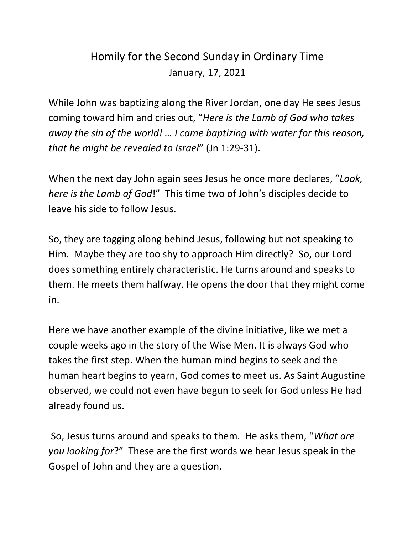## Homily for the Second Sunday in Ordinary Time January, 17, 2021

While John was baptizing along the River Jordan, one day He sees Jesus coming toward him and cries out, "*Here is the Lamb of God who takes away the sin of the world! … I came baptizing with water for this reason, that he might be revealed to Israel*" (Jn 1:29-31).

When the next day John again sees Jesus he once more declares, "*Look, here is the Lamb of God*!" This time two of John's disciples decide to leave his side to follow Jesus.

So, they are tagging along behind Jesus, following but not speaking to Him. Maybe they are too shy to approach Him directly? So, our Lord does something entirely characteristic. He turns around and speaks to them. He meets them halfway. He opens the door that they might come in.

Here we have another example of the divine initiative, like we met a couple weeks ago in the story of the Wise Men. It is always God who takes the first step. When the human mind begins to seek and the human heart begins to yearn, God comes to meet us. As Saint Augustine observed, we could not even have begun to seek for God unless He had already found us.

So, Jesus turns around and speaks to them. He asks them, "*What are you looking for*?" These are the first words we hear Jesus speak in the Gospel of John and they are a question.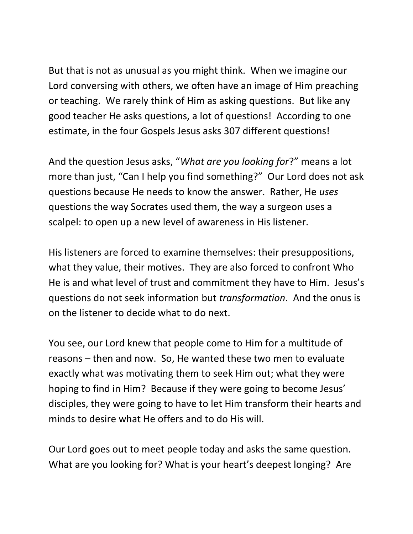But that is not as unusual as you might think. When we imagine our Lord conversing with others, we often have an image of Him preaching or teaching. We rarely think of Him as asking questions. But like any good teacher He asks questions, a lot of questions! According to one estimate, in the four Gospels Jesus asks 307 different questions!

And the question Jesus asks, "*What are you looking for*?" means a lot more than just, "Can I help you find something?" Our Lord does not ask questions because He needs to know the answer. Rather, He *uses*  questions the way Socrates used them, the way a surgeon uses a scalpel: to open up a new level of awareness in His listener.

His listeners are forced to examine themselves: their presuppositions, what they value, their motives. They are also forced to confront Who He is and what level of trust and commitment they have to Him. Jesus's questions do not seek information but *transformation*. And the onus is on the listener to decide what to do next.

You see, our Lord knew that people come to Him for a multitude of reasons – then and now. So, He wanted these two men to evaluate exactly what was motivating them to seek Him out; what they were hoping to find in Him? Because if they were going to become Jesus' disciples, they were going to have to let Him transform their hearts and minds to desire what He offers and to do His will.

Our Lord goes out to meet people today and asks the same question. What are you looking for? What is your heart's deepest longing? Are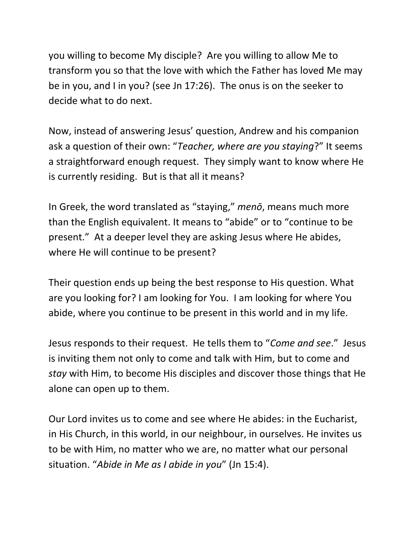you willing to become My disciple? Are you willing to allow Me to transform you so that the love with which the Father has loved Me may be in you, and I in you? (see Jn 17:26). The onus is on the seeker to decide what to do next.

Now, instead of answering Jesus' question, Andrew and his companion ask a question of their own: "*Teacher, where are you staying*?" It seems a straightforward enough request. They simply want to know where He is currently residing. But is that all it means?

In Greek, the word translated as "staying," *menō*, means much more than the English equivalent. It means to "abide" or to "continue to be present." At a deeper level they are asking Jesus where He abides, where He will continue to be present?

Their question ends up being the best response to His question. What are you looking for? I am looking for You. I am looking for where You abide, where you continue to be present in this world and in my life.

Jesus responds to their request. He tells them to "*Come and see*." Jesus is inviting them not only to come and talk with Him, but to come and *stay* with Him, to become His disciples and discover those things that He alone can open up to them.

Our Lord invites us to come and see where He abides: in the Eucharist, in His Church, in this world, in our neighbour, in ourselves. He invites us to be with Him, no matter who we are, no matter what our personal situation. "*Abide in Me as I abide in you*" (Jn 15:4).